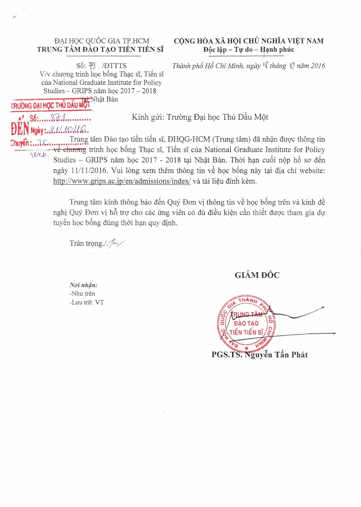# TRUNG TÂM ĐÀO TẠO TIỀN TIẾN SĨ Độc lập - Tự do - Hạnh phúc

V/v chương trình học bổng Thạc sĩ, Tiến sĩ của National Graduate Institute for Policy Studies – GRIPS năm học  $2017 - 2018$ <br>Học Thủ nấu Nột

tRUONG DAI HQC **THU** DAU Al

**DEN** *Ngiy:d.11..W.I.I.C.* 

# ĐẠI HỌC QUỐC GIA TP.HCM CỘNG HÒA XÃ HỘI CHỦ NGHĨA VIỆT NAM

Số: 79 / <del>D</del>TTTS *Thành phố Hồ Chi Minh, ngày* l $\ell$  tháng  $\lvert \ell \rvert$  năm 2016

**Al Winh gửi: Trường Đại học Thủ Dầu Một** 

Trung tâm Đào tạo tiền tiến sĩ, ĐHQG-HCM (Trung tâm) đã nhận được thông tin về chương trình học bổng Thạc sĩ, Tiến sĩ của National Graduate Institute for Policy Studies - GRIPS năm học 2017 - 2018 tại Nhật Bản. Thời hạn cuối nộp hồ sơ đến ngày 11/11/2016. Vui lòng xem thêm thông tin về học bổng này tại địa chỉ website: http://www.grips.ac.jp/en/admissions/index/và tài liệu đính kèm.

Trung tâm kính thông báo đến Quý Đơn vi thông tin về học bổng trên và kính đề nghị Quý Đơn vị hỗ trợ cho các ứng viên có đủ điều kiện cần thiết được tham gia dự tuyển học bổng đúng thời hạn quy định.

Trân trọng./ $\sqrt{k}$ 

**GIÁM ĐỐC** 

 $N$ oi nhận: -Như trên -Luu trữ: VT

*DÀO TAO* riển tiến sĩ PGS.TS. Nguyễn Tấn Phát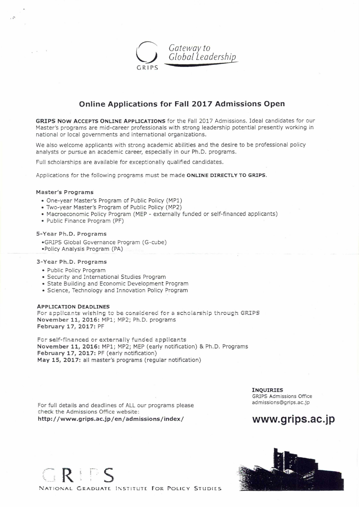*Gateway to \.") Global Leadershi*  GRIPS

### **Online Applications for Fall 2017 Admissions Open**

**GRIPS Now** ACCEPTS ONLINE **APPLICATIONS** for the Fall 2017 Admissions. Ideal candidates for our Master's programs are mid-career professionals with strong leadership potential presently working in national or local governments and international organizations.

We also welcome applicants with strong academic abilities and the desire to be professional policy analysts or pursue an academic career, especially in our Ph.D. programs.

Full scholarships are available for exceptionally qualified candidates.

Applications for the following programs must be made **ONLINE DIRECTLY TO GRIPS.** 

#### Master's Programs

- One-year Master's Program of Public Policy (MP1)
- Two-year Master's Program of Public Policy (MP2)
- Macroeconomic Policy Program (MEP externally funded or self-financed applicants)
- Public Finance Program (PF)

#### 5-Year Ph.D. Programs

- •GRIPS Global Governance Program (G-cube)
- •Policy Analysis Program (PA)

#### 3-Year Ph.D. Programs

- Public Policy Program
- Security and International Studies Program
- State Building and Economic Development Program
- Science, Technology and Innovation Policy Program

#### **APPLICATION DEADLINES**

For applicants wishing to be considered for a scholarship through GRIPS November 11, 2016: MP1; MP2; Ph.D. programs February 17, 2017: PF

For self-financed or externally funded applicants November 11, 2016: MP1; MP2; MEP (early notification) & Ph.D. Programs February 17, 2017: PF (early notification) May 15, 2017: all master's programs (regular notification)

For full details and deadlines of ALL our programs please check the Admissions Office website: http://www.grips.acjp/en/admissions/index/

**INQUIRIES**  GRIPS Admissions Office admissions@grips.ac.jp





R I D C NATIONAL GRADUATE INSTITUTE FOR POLICY STUDIES